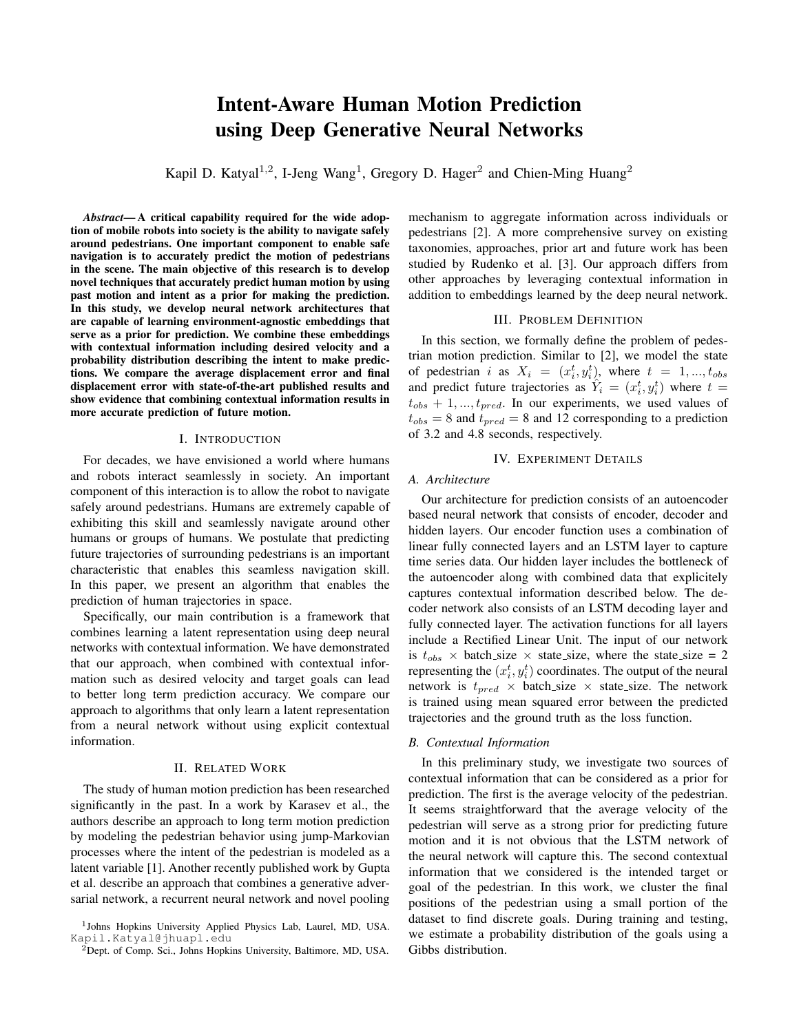# Intent-Aware Human Motion Prediction using Deep Generative Neural Networks

Kapil D. Katyal<sup>1,2</sup>, I-Jeng Wang<sup>1</sup>, Gregory D. Hager<sup>2</sup> and Chien-Ming Huang<sup>2</sup>

*Abstract*— A critical capability required for the wide adoption of mobile robots into society is the ability to navigate safely around pedestrians. One important component to enable safe navigation is to accurately predict the motion of pedestrians in the scene. The main objective of this research is to develop novel techniques that accurately predict human motion by using past motion and intent as a prior for making the prediction. In this study, we develop neural network architectures that are capable of learning environment-agnostic embeddings that serve as a prior for prediction. We combine these embeddings with contextual information including desired velocity and a probability distribution describing the intent to make predictions. We compare the average displacement error and final displacement error with state-of-the-art published results and show evidence that combining contextual information results in more accurate prediction of future motion.

# I. INTRODUCTION

<span id="page-0-0"></span>For decades, we have envisioned a world where humans and robots interact seamlessly in society. An important component of this interaction is to allow the robot to navigate safely around pedestrians. Humans are extremely capable of exhibiting this skill and seamlessly navigate around other humans or groups of humans. We postulate that predicting future trajectories of surrounding pedestrians is an important characteristic that enables this seamless navigation skill. In this paper, we present an algorithm that enables the prediction of human trajectories in space.

Specifically, our main contribution is a framework that combines learning a latent representation using deep neural networks with contextual information. We have demonstrated that our approach, when combined with contextual information such as desired velocity and target goals can lead to better long term prediction accuracy. We compare our approach to algorithms that only learn a latent representation from a neural network without using explicit contextual information.

# II. RELATED WORK

The study of human motion prediction has been researched significantly in the past. In a work by Karasev et al., the authors describe an approach to long term motion prediction by modeling the pedestrian behavior using jump-Markovian processes where the intent of the pedestrian is modeled as a latent variable [1]. Another recently published work by Gupta et al. describe an approach that combines a generative adversarial network, a recurrent neural network and novel pooling mechanism to aggregate information across individuals or pedestrians [2]. A more comprehensive survey on existing taxonomies, approaches, prior art and future work has been studied by Rudenko et al. [3]. Our approach differs from other approaches by leveraging contextual information in addition to embeddings learned by the deep neural network.

## III. PROBLEM DEFINITION

In this section, we formally define the problem of pedestrian motion prediction. Similar to [2], we model the state of pedestrian i as  $X_i = (x_i^t, y_i^t)$ , where  $t = 1, ..., t_{obs}$ and predict future trajectories as  $\hat{Y}_i = (x_i^t, y_i^t)$  where  $t =$  $t_{obs} + 1, ..., t_{pred}$ . In our experiments, we used values of  $t_{obs} = 8$  and  $t_{pred} = 8$  and 12 corresponding to a prediction of 3.2 and 4.8 seconds, respectively.

# IV. EXPERIMENT DETAILS

# *A. Architecture*

Our architecture for prediction consists of an autoencoder based neural network that consists of encoder, decoder and hidden layers. Our encoder function uses a combination of linear fully connected layers and an LSTM layer to capture time series data. Our hidden layer includes the bottleneck of the autoencoder along with combined data that explicitely captures contextual information described below. The decoder network also consists of an LSTM decoding layer and fully connected layer. The activation functions for all layers include a Rectified Linear Unit. The input of our network is  $t_{obs}$  × batch\_size × state\_size, where the state\_size = 2 representing the  $(x_i^t, y_i^t)$  coordinates. The output of the neural network is  $t_{pred} \times$  batch\_size  $\times$  state\_size. The network is trained using mean squared error between the predicted trajectories and the ground truth as the loss function.

#### *B. Contextual Information*

In this preliminary study, we investigate two sources of contextual information that can be considered as a prior for prediction. The first is the average velocity of the pedestrian. It seems straightforward that the average velocity of the pedestrian will serve as a strong prior for predicting future motion and it is not obvious that the LSTM network of the neural network will capture this. The second contextual information that we considered is the intended target or goal of the pedestrian. In this work, we cluster the final positions of the pedestrian using a small portion of the dataset to find discrete goals. During training and testing, we estimate a probability distribution of the goals using a Gibbs distribution.

<sup>1</sup> Johns Hopkins University Applied Physics Lab, Laurel, MD, USA. Kapil.Katyal@jhuapl.edu

 ${}^{2}$ Dept. of Comp. Sci., Johns Hopkins University, Baltimore, MD, USA.